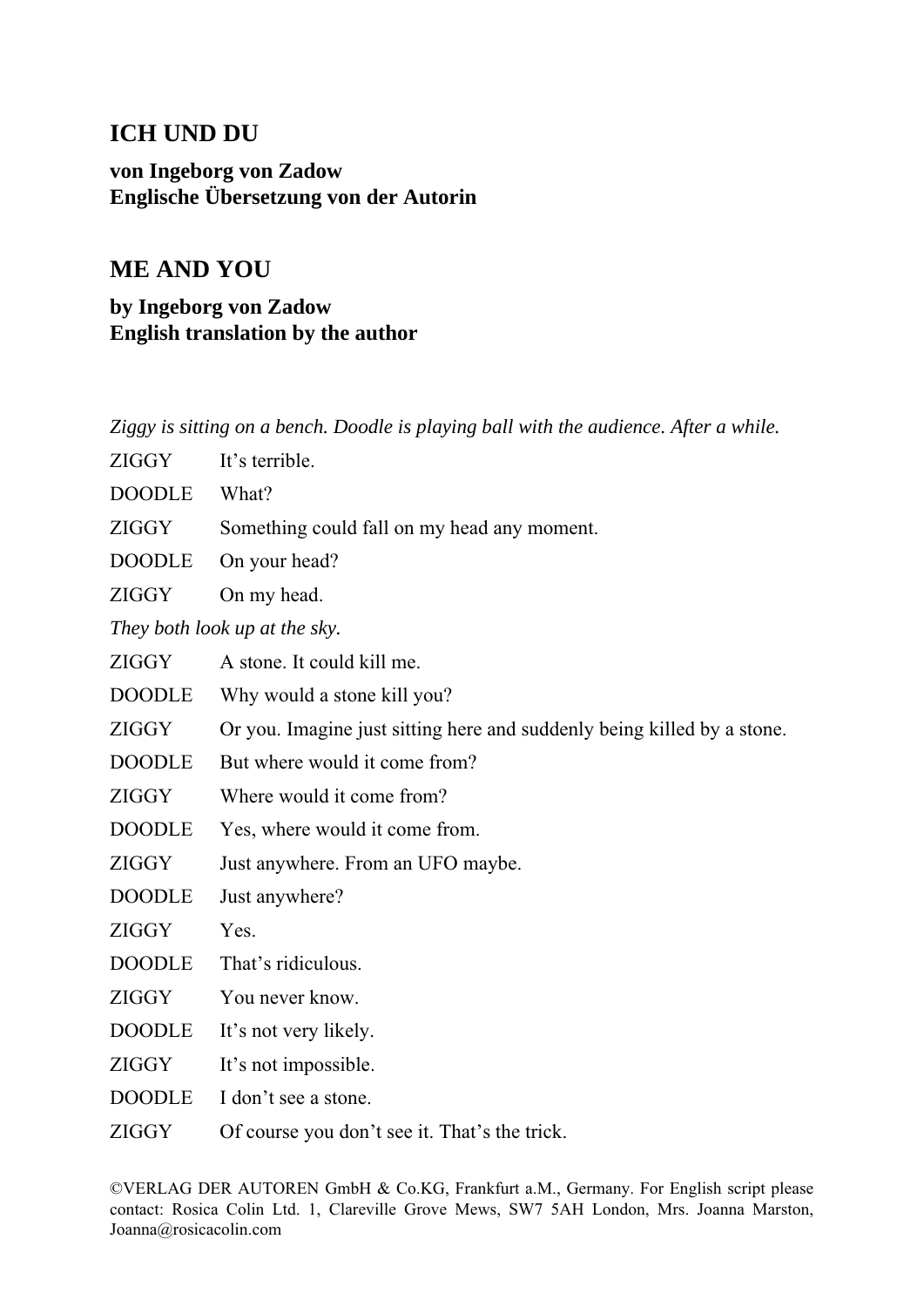## **ICH UND DU**

**von Ingeborg von Zadow Englische Übersetzung von der Autorin**

## **ME AND YOU**

**by Ingeborg von Zadow English translation by the author**

*Ziggy is sitting on a bench. Doodle is playing ball with the audience. After a while.*

- ZIGGY It's terrible.
- DOODLE What?
- ZIGGY Something could fall on my head any moment.
- DOODLE On your head?

ZIGGY On my head.

*They both look up at the sky.*

- ZIGGY A stone. It could kill me.
- DOODLE Why would a stone kill you?
- ZIGGY Or you. Imagine just sitting here and suddenly being killed by a stone.
- DOODLE But where would it come from?
- ZIGGY Where would it come from?
- DOODLE Yes, where would it come from.
- ZIGGY Just anywhere. From an UFO maybe.
- DOODLE Just anywhere?

ZIGGY Yes.

- DOODLE That's ridiculous.
- ZIGGY You never know.
- DOODLE It's not very likely.
- ZIGGY It's not impossible.
- DOODLE I don't see a stone.
- ZIGGY Of course you don't see it. That's the trick.

©VERLAG DER AUTOREN GmbH & Co.KG, Frankfurt a.M., Germany. For English script please contact: Rosica Colin Ltd. 1, Clareville Grove Mews, SW7 5AH London, Mrs. Joanna Marston, Joanna@rosicacolin.com